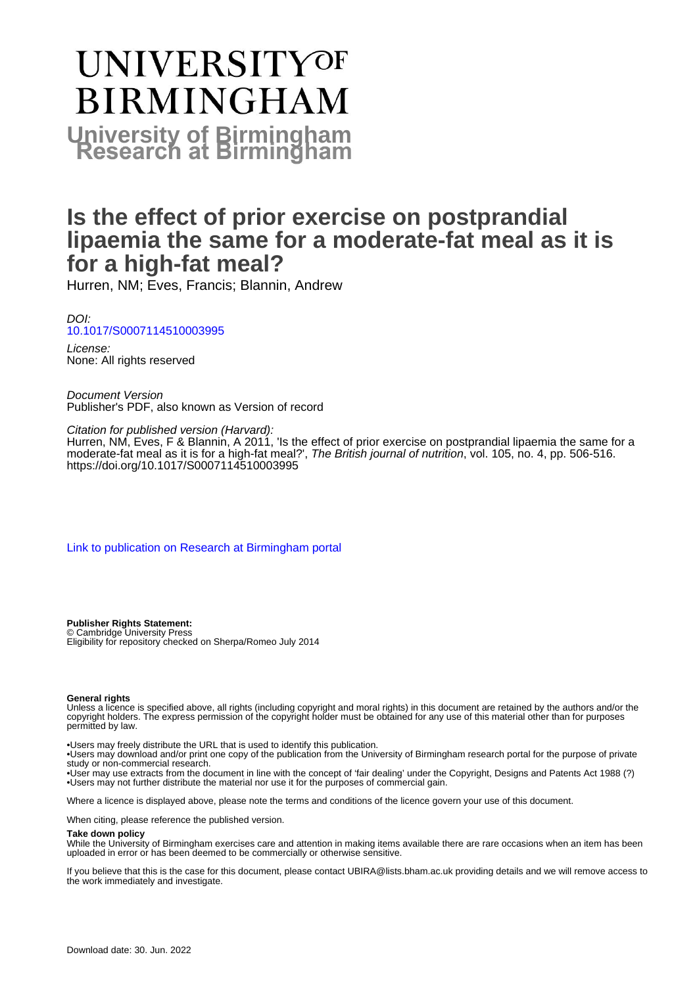# UNIVERSITYOF **BIRMINGHAM University of Birmingham**

## **Is the effect of prior exercise on postprandial lipaemia the same for a moderate-fat meal as it is for a high-fat meal?**

Hurren, NM; Eves, Francis; Blannin, Andrew

DOI: [10.1017/S0007114510003995](https://doi.org/10.1017/S0007114510003995)

License: None: All rights reserved

Document Version Publisher's PDF, also known as Version of record

Citation for published version (Harvard):

Hurren, NM, Eves, F & Blannin, A 2011, 'Is the effect of prior exercise on postprandial lipaemia the same for a moderate-fat meal as it is for a high-fat meal?', The British journal of nutrition, vol. 105, no. 4, pp. 506-516. <https://doi.org/10.1017/S0007114510003995>

[Link to publication on Research at Birmingham portal](https://birmingham.elsevierpure.com/en/publications/c34597ba-39d6-4d81-b89d-24216e0bf930)

**Publisher Rights Statement:** © Cambridge University Press

Eligibility for repository checked on Sherpa/Romeo July 2014

#### **General rights**

Unless a licence is specified above, all rights (including copyright and moral rights) in this document are retained by the authors and/or the copyright holders. The express permission of the copyright holder must be obtained for any use of this material other than for purposes permitted by law.

• Users may freely distribute the URL that is used to identify this publication.

• Users may download and/or print one copy of the publication from the University of Birmingham research portal for the purpose of private study or non-commercial research.

• User may use extracts from the document in line with the concept of 'fair dealing' under the Copyright, Designs and Patents Act 1988 (?) • Users may not further distribute the material nor use it for the purposes of commercial gain.

Where a licence is displayed above, please note the terms and conditions of the licence govern your use of this document.

When citing, please reference the published version.

#### **Take down policy**

While the University of Birmingham exercises care and attention in making items available there are rare occasions when an item has been uploaded in error or has been deemed to be commercially or otherwise sensitive.

If you believe that this is the case for this document, please contact UBIRA@lists.bham.ac.uk providing details and we will remove access to the work immediately and investigate.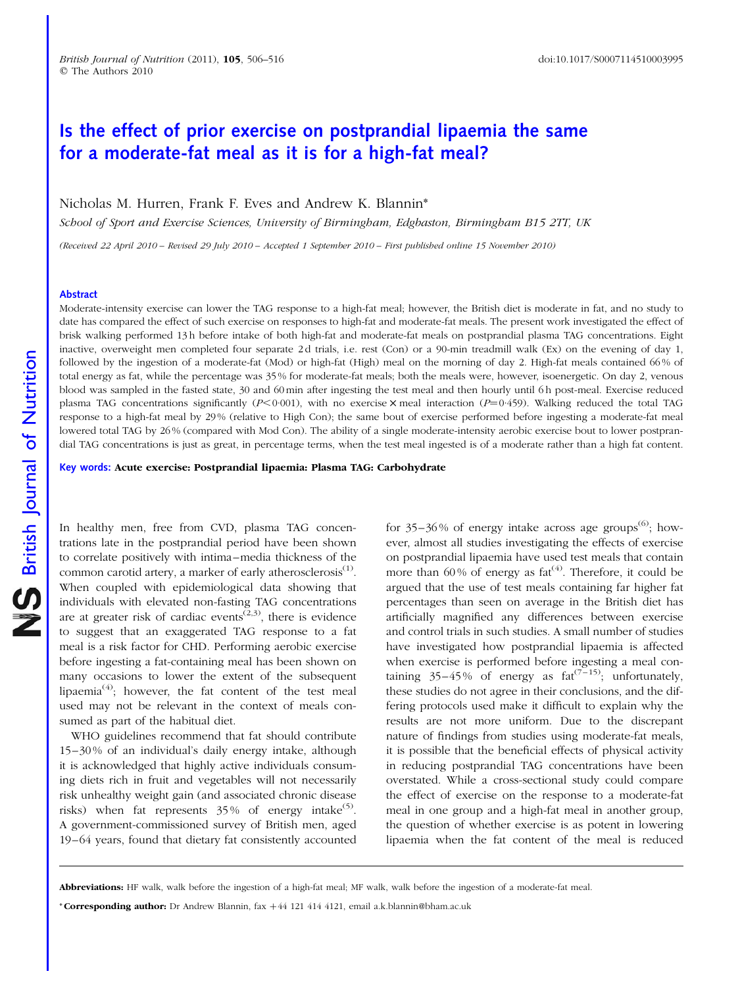### Is the effect of prior exercise on postprandial lipaemia the same for a moderate-fat meal as it is for a high-fat meal?

Nicholas M. Hurren, Frank F. Eves and Andrew K. Blannin\*

School of Sport and Exercise Sciences, University of Birmingham, Edgbaston, Birmingham B15 2TT, UK

(Received 22 April 2010 – Revised 29 July 2010 – Accepted 1 September 2010 – First published online 15 November 2010)

#### Abstract

Moderate-intensity exercise can lower the TAG response to a high-fat meal; however, the British diet is moderate in fat, and no study to date has compared the effect of such exercise on responses to high-fat and moderate-fat meals. The present work investigated the effect of brisk walking performed 13 h before intake of both high-fat and moderate-fat meals on postprandial plasma TAG concentrations. Eight inactive, overweight men completed four separate 2 d trials, i.e. rest (Con) or a 90-min treadmill walk (Ex) on the evening of day 1, followed by the ingestion of a moderate-fat (Mod) or high-fat (High) meal on the morning of day 2. High-fat meals contained 66% of total energy as fat, while the percentage was 35 % for moderate-fat meals; both the meals were, however, isoenergetic. On day 2, venous blood was sampled in the fasted state, 30 and 60 min after ingesting the test meal and then hourly until 6 h post-meal. Exercise reduced plasma TAG concentrations significantly  $(P<0.001)$ , with no exercise  $\times$  meal interaction  $(P=0.459)$ . Walking reduced the total TAG response to a high-fat meal by 29 % (relative to High Con); the same bout of exercise performed before ingesting a moderate-fat meal lowered total TAG by 26 % (compared with Mod Con). The ability of a single moderate-intensity aerobic exercise bout to lower postprandial TAG concentrations is just as great, in percentage terms, when the test meal ingested is of a moderate rather than a high fat content.

Key words: Acute exercise: Postprandial lipaemia: Plasma TAG: Carbohydrate

In healthy men, free from CVD, plasma TAG concentrations late in the postprandial period have been shown to correlate positively with intima–media thickness of the common carotid artery, a marker of early atherosclerosis<sup>(1)</sup>. When coupled with epidemiological data showing that individuals with elevated non-fasting TAG concentrations are at greater risk of cardiac events<sup> $(2,3)$ </sup>, there is evidence to suggest that an exaggerated TAG response to a fat meal is a risk factor for CHD. Performing aerobic exercise before ingesting a fat-containing meal has been shown on many occasions to lower the extent of the subsequent lipaemia<sup>(4)</sup>; however, the fat content of the test meal used may not be relevant in the context of meals consumed as part of the habitual diet.

WHO guidelines recommend that fat should contribute 15–30 % of an individual's daily energy intake, although it is acknowledged that highly active individuals consuming diets rich in fruit and vegetables will not necessarily risk unhealthy weight gain (and associated chronic disease risks) when fat represents  $35\%$  of energy intake<sup>(5)</sup>. A government-commissioned survey of British men, aged 19–64 years, found that dietary fat consistently accounted

for 35–36% of energy intake across age groups<sup> $(6)$ </sup>; however, almost all studies investigating the effects of exercise on postprandial lipaemia have used test meals that contain more than  $60\%$  of energy as  $fat^{(4)}$ . Therefore, it could be argued that the use of test meals containing far higher fat percentages than seen on average in the British diet has artificially magnified any differences between exercise and control trials in such studies. A small number of studies have investigated how postprandial lipaemia is affected when exercise is performed before ingesting a meal containing 35–45% of energy as  $fat^{(7-15)}$ ; unfortunately, these studies do not agree in their conclusions, and the differing protocols used make it difficult to explain why the results are not more uniform. Due to the discrepant nature of findings from studies using moderate-fat meals, it is possible that the beneficial effects of physical activity in reducing postprandial TAG concentrations have been overstated. While a cross-sectional study could compare the effect of exercise on the response to a moderate-fat meal in one group and a high-fat meal in another group, the question of whether exercise is as potent in lowering lipaemia when the fat content of the meal is reduced

\* Corresponding author: Dr Andrew Blannin, fax  $+44$  121  $414$  4121, email a.k.blannin@bham.ac.uk

Abbreviations: HF walk, walk before the ingestion of a high-fat meal; MF walk, walk before the ingestion of a moderate-fat meal.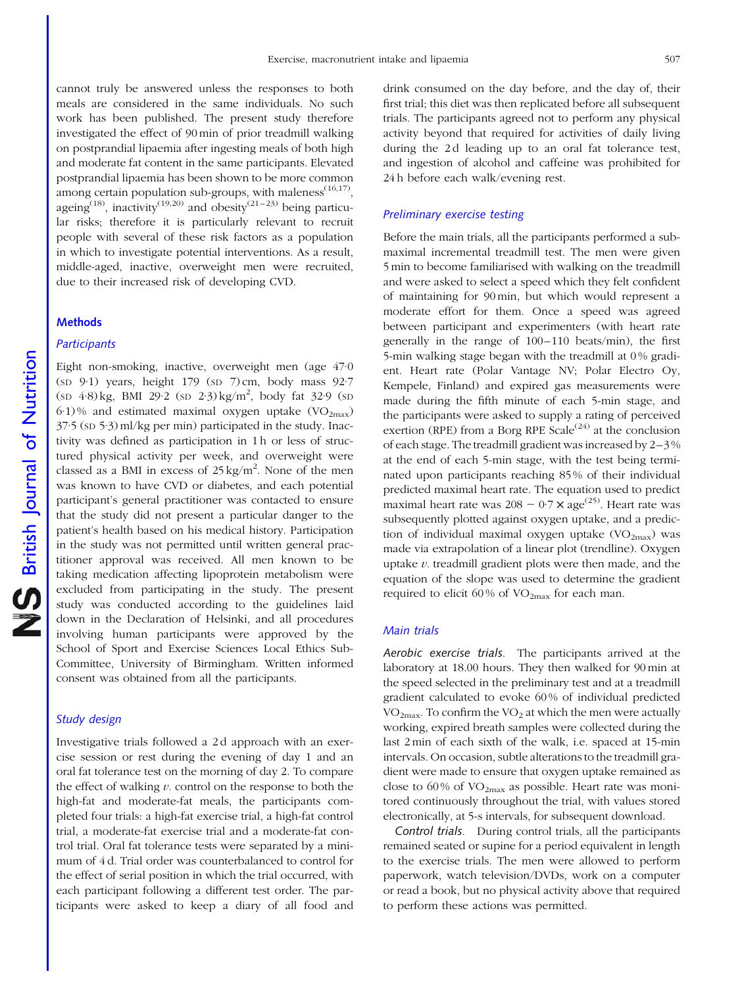cannot truly be answered unless the responses to both meals are considered in the same individuals. No such work has been published. The present study therefore investigated the effect of 90 min of prior treadmill walking on postprandial lipaemia after ingesting meals of both high and moderate fat content in the same participants. Elevated postprandial lipaemia has been shown to be more common among certain population sub-groups, with maleness $(16,17)$ , ageing<sup>(18)</sup>, inactivity<sup>(19,20)</sup> and obesity<sup>(21–23)</sup> being particular risks; therefore it is particularly relevant to recruit people with several of these risk factors as a population in which to investigate potential interventions. As a result, middle-aged, inactive, overweight men were recruited, due to their increased risk of developing CVD.

#### **Methods**

#### **Participants**

Eight non-smoking, inactive, overweight men (age 47·0  $(SD 9.1)$  years, height 179  $(SD 7)$  cm, body mass 92.7  $(\text{SD } 4.8) \text{ kg}$ , BMI 29.2  $(\text{SD } 2.3) \text{ kg/m}^2$ , body fat 32.9  $(\text{SD } 4.8)$  $6·1$ % and estimated maximal oxygen uptake (VO<sub>2max</sub>) 37·5 (SD 5·3) ml/kg per min) participated in the study. Inactivity was defined as participation in 1 h or less of structured physical activity per week, and overweight were classed as a BMI in excess of  $25 \text{ kg/m}^2$ . None of the men was known to have CVD or diabetes, and each potential participant's general practitioner was contacted to ensure that the study did not present a particular danger to the patient's health based on his medical history. Participation in the study was not permitted until written general practitioner approval was received. All men known to be taking medication affecting lipoprotein metabolism were excluded from participating in the study. The present study was conducted according to the guidelines laid down in the Declaration of Helsinki, and all procedures involving human participants were approved by the School of Sport and Exercise Sciences Local Ethics Sub-Committee, University of Birmingham. Written informed consent was obtained from all the participants.

#### Study design

Investigative trials followed a 2 d approach with an exercise session or rest during the evening of day 1 and an oral fat tolerance test on the morning of day 2. To compare the effect of walking  $v$ . control on the response to both the high-fat and moderate-fat meals, the participants completed four trials: a high-fat exercise trial, a high-fat control trial, a moderate-fat exercise trial and a moderate-fat control trial. Oral fat tolerance tests were separated by a minimum of 4 d. Trial order was counterbalanced to control for the effect of serial position in which the trial occurred, with each participant following a different test order. The participants were asked to keep a diary of all food and

drink consumed on the day before, and the day of, their first trial; this diet was then replicated before all subsequent trials. The participants agreed not to perform any physical activity beyond that required for activities of daily living during the 2d leading up to an oral fat tolerance test, and ingestion of alcohol and caffeine was prohibited for 24 h before each walk/evening rest.

#### Preliminary exercise testing

Before the main trials, all the participants performed a submaximal incremental treadmill test. The men were given 5 min to become familiarised with walking on the treadmill and were asked to select a speed which they felt confident of maintaining for 90 min, but which would represent a moderate effort for them. Once a speed was agreed between participant and experimenters (with heart rate generally in the range of 100–110 beats/min), the first 5-min walking stage began with the treadmill at 0 % gradient. Heart rate (Polar Vantage NV; Polar Electro Oy, Kempele, Finland) and expired gas measurements were made during the fifth minute of each 5-min stage, and the participants were asked to supply a rating of perceived exertion (RPE) from a Borg RPE Scale<sup> $(24)$ </sup> at the conclusion of each stage. The treadmill gradient was increased by 2–3 % at the end of each 5-min stage, with the test being terminated upon participants reaching 85 % of their individual predicted maximal heart rate. The equation used to predict maximal heart rate was  $208 - 0.7 \times \text{age}^{(25)}$ . Heart rate was subsequently plotted against oxygen uptake, and a prediction of individual maximal oxygen uptake  $(\rm VO_{2max})$  was made via extrapolation of a linear plot (trendline). Oxygen uptake  $v$ . treadmill gradient plots were then made, and the equation of the slope was used to determine the gradient required to elicit 60% of  $VO_{2max}$  for each man.

#### Main trials

Aerobic exercise trials. The participants arrived at the laboratory at 18.00 hours. They then walked for 90 min at the speed selected in the preliminary test and at a treadmill gradient calculated to evoke 60 % of individual predicted  $VO<sub>2max</sub>$ . To confirm the  $VO<sub>2</sub>$  at which the men were actually working, expired breath samples were collected during the last 2 min of each sixth of the walk, i.e. spaced at 15-min intervals. On occasion, subtle alterations to the treadmill gradient were made to ensure that oxygen uptake remained as close to 60% of VO<sub>2max</sub> as possible. Heart rate was monitored continuously throughout the trial, with values stored electronically, at 5-s intervals, for subsequent download.

Control trials. During control trials, all the participants remained seated or supine for a period equivalent in length to the exercise trials. The men were allowed to perform paperwork, watch television/DVDs, work on a computer or read a book, but no physical activity above that required to perform these actions was permitted.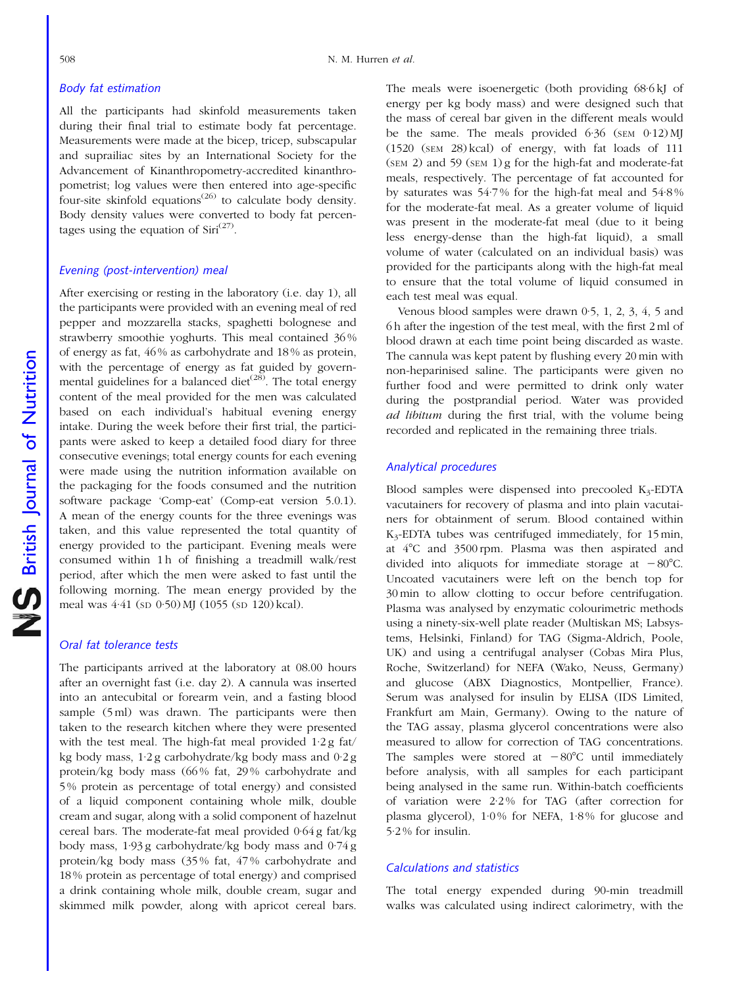#### Body fat estimation

All the participants had skinfold measurements taken during their final trial to estimate body fat percentage. Measurements were made at the bicep, tricep, subscapular and suprailiac sites by an International Society for the Advancement of Kinanthropometry-accredited kinanthropometrist; log values were then entered into age-specific four-site skinfold equations<sup> $(26)$ </sup> to calculate body density. Body density values were converted to body fat percentages using the equation of  $Siri^{(27)}$ .

#### Evening (post-intervention) meal

After exercising or resting in the laboratory (i.e. day 1), all the participants were provided with an evening meal of red pepper and mozzarella stacks, spaghetti bolognese and strawberry smoothie yoghurts. This meal contained 36 % of energy as fat, 46 % as carbohydrate and 18 % as protein, with the percentage of energy as fat guided by governmental guidelines for a balanced diet<sup> $(28)$ </sup>. The total energy content of the meal provided for the men was calculated based on each individual's habitual evening energy intake. During the week before their first trial, the participants were asked to keep a detailed food diary for three consecutive evenings; total energy counts for each evening were made using the nutrition information available on the packaging for the foods consumed and the nutrition software package 'Comp-eat' (Comp-eat version 5.0.1). A mean of the energy counts for the three evenings was taken, and this value represented the total quantity of energy provided to the participant. Evening meals were consumed within 1 h of finishing a treadmill walk/rest period, after which the men were asked to fast until the following morning. The mean energy provided by the meal was 4·41 (SD 0·50) MJ (1055 (SD 120) kcal).

#### Oral fat tolerance tests

The participants arrived at the laboratory at 08.00 hours after an overnight fast (i.e. day 2). A cannula was inserted into an antecubital or forearm vein, and a fasting blood sample (5 ml) was drawn. The participants were then taken to the research kitchen where they were presented with the test meal. The high-fat meal provided 1·2 g fat/ kg body mass, 1·2 g carbohydrate/kg body mass and 0·2 g protein/kg body mass (66 % fat, 29 % carbohydrate and 5 % protein as percentage of total energy) and consisted of a liquid component containing whole milk, double cream and sugar, along with a solid component of hazelnut cereal bars. The moderate-fat meal provided 0·64 g fat/kg body mass, 1·93 g carbohydrate/kg body mass and 0·74 g protein/kg body mass (35 % fat, 47 % carbohydrate and 18 % protein as percentage of total energy) and comprised a drink containing whole milk, double cream, sugar and skimmed milk powder, along with apricot cereal bars.

The meals were isoenergetic (both providing 68.6 kJ of energy per kg body mass) and were designed such that the mass of cereal bar given in the different meals would be the same. The meals provided 6.36 (SEM 0.12) MJ (1520 (SEM 28) kcal) of energy, with fat loads of 111 (SEM 2) and 59 (SEM 1) g for the high-fat and moderate-fat meals, respectively. The percentage of fat accounted for by saturates was 54·7 % for the high-fat meal and 54·8 % for the moderate-fat meal. As a greater volume of liquid was present in the moderate-fat meal (due to it being less energy-dense than the high-fat liquid), a small volume of water (calculated on an individual basis) was provided for the participants along with the high-fat meal to ensure that the total volume of liquid consumed in each test meal was equal.

Venous blood samples were drawn 0·5, 1, 2, 3, 4, 5 and 6 h after the ingestion of the test meal, with the first 2 ml of blood drawn at each time point being discarded as waste. The cannula was kept patent by flushing every 20 min with non-heparinised saline. The participants were given no further food and were permitted to drink only water during the postprandial period. Water was provided ad libitum during the first trial, with the volume being recorded and replicated in the remaining three trials.

#### Analytical procedures

Blood samples were dispensed into precooled  $K_3$ -EDTA vacutainers for recovery of plasma and into plain vacutainers for obtainment of serum. Blood contained within K3-EDTA tubes was centrifuged immediately, for 15 min, at  $4^{\circ}$ C and  $3500$  rpm. Plasma was then aspirated and divided into aliquots for immediate storage at  $-80^{\circ}$ C. Uncoated vacutainers were left on the bench top for 30 min to allow clotting to occur before centrifugation. Plasma was analysed by enzymatic colourimetric methods using a ninety-six-well plate reader (Multiskan MS; Labsystems, Helsinki, Finland) for TAG (Sigma-Aldrich, Poole, UK) and using a centrifugal analyser (Cobas Mira Plus, Roche, Switzerland) for NEFA (Wako, Neuss, Germany) and glucose (ABX Diagnostics, Montpellier, France). Serum was analysed for insulin by ELISA (IDS Limited, Frankfurt am Main, Germany). Owing to the nature of the TAG assay, plasma glycerol concentrations were also measured to allow for correction of TAG concentrations. The samples were stored at  $-80^{\circ}$ C until immediately before analysis, with all samples for each participant being analysed in the same run. Within-batch coefficients of variation were 2·2 % for TAG (after correction for plasma glycerol), 1·0 % for NEFA, 1·8 % for glucose and 5·2 % for insulin.

#### Calculations and statistics

The total energy expended during 90-min treadmill walks was calculated using indirect calorimetry, with the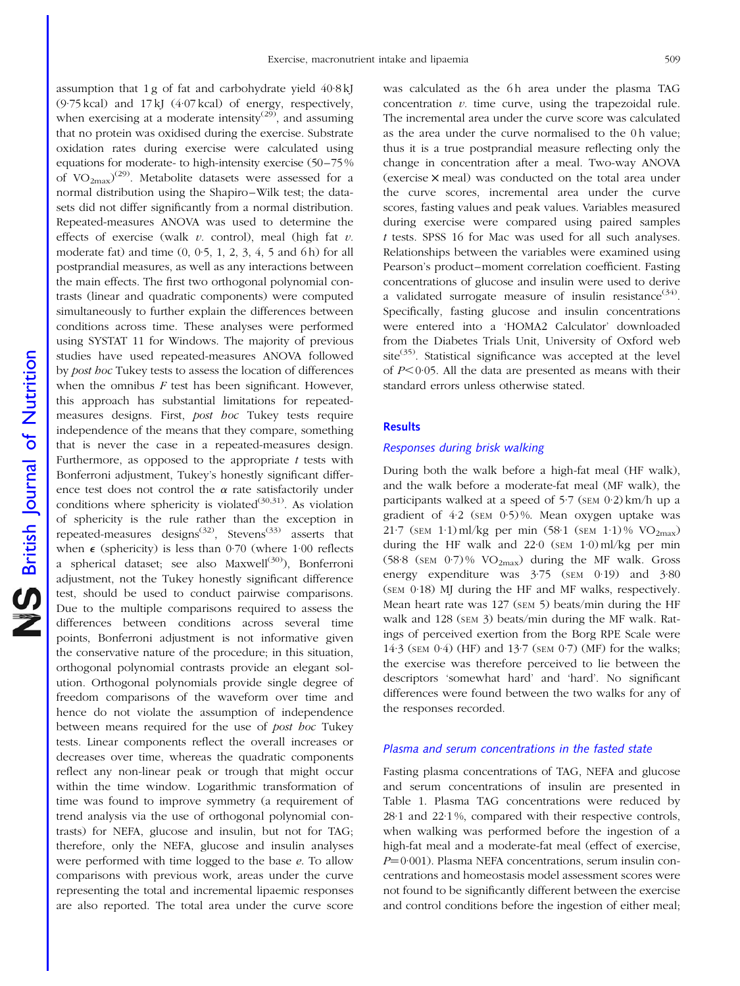(9·75 kcal) and 17 kJ (4·07 kcal) of energy, respectively, when exercising at a moderate intensity<sup>(29)</sup>, and assuming that no protein was oxidised during the exercise. Substrate oxidation rates during exercise were calculated using equations for moderate- to high-intensity exercise (50–75% of  $VO_{2max}$ <sup>(29)</sup>. Metabolite datasets were assessed for a normal distribution using the Shapiro–Wilk test; the datasets did not differ significantly from a normal distribution. Repeated-measures ANOVA was used to determine the effects of exercise (walk  $v$ . control), meal (high fat  $v$ . moderate fat) and time  $(0, 0.5, 1, 2, 3, 4, 5, 4)$  for all postprandial measures, as well as any interactions between the main effects. The first two orthogonal polynomial contrasts (linear and quadratic components) were computed simultaneously to further explain the differences between conditions across time. These analyses were performed using SYSTAT 11 for Windows. The majority of previous studies have used repeated-measures ANOVA followed by *post hoc* Tukey tests to assess the location of differences when the omnibus  $F$  test has been significant. However, this approach has substantial limitations for repeatedmeasures designs. First, post hoc Tukey tests require independence of the means that they compare, something that is never the case in a repeated-measures design. Furthermore, as opposed to the appropriate  $t$  tests with Bonferroni adjustment, Tukey's honestly significant difference test does not control the  $\alpha$  rate satisfactorily under conditions where sphericity is violated<sup>(30,31)</sup>. As violation of sphericity is the rule rather than the exception in repeated-measures designs<sup>(32)</sup>, Stevens<sup>(33)</sup> asserts that when  $\epsilon$  (sphericity) is less than 0.70 (where 1.00 reflects a spherical dataset; see also Maxwell<sup>(30)</sup>), Bonferroni adjustment, not the Tukey honestly significant difference test, should be used to conduct pairwise comparisons. Due to the multiple comparisons required to assess the differences between conditions across several time points, Bonferroni adjustment is not informative given the conservative nature of the procedure; in this situation, orthogonal polynomial contrasts provide an elegant solution. Orthogonal polynomials provide single degree of freedom comparisons of the waveform over time and hence do not violate the assumption of independence between means required for the use of post hoc Tukey tests. Linear components reflect the overall increases or decreases over time, whereas the quadratic components reflect any non-linear peak or trough that might occur within the time window. Logarithmic transformation of time was found to improve symmetry (a requirement of trend analysis via the use of orthogonal polynomial contrasts) for NEFA, glucose and insulin, but not for TAG; therefore, only the NEFA, glucose and insulin analyses were performed with time logged to the base e. To allow comparisons with previous work, areas under the curve representing the total and incremental lipaemic responses are also reported. The total area under the curve score

assumption that 1 g of fat and carbohydrate yield 40·8 kJ

was calculated as the 6h area under the plasma TAG concentration  $v$ . time curve, using the trapezoidal rule. The incremental area under the curve score was calculated as the area under the curve normalised to the 0h value; thus it is a true postprandial measure reflecting only the change in concentration after a meal. Two-way ANOVA (exercise  $\times$  meal) was conducted on the total area under the curve scores, incremental area under the curve scores, fasting values and peak values. Variables measured during exercise were compared using paired samples t tests. SPSS 16 for Mac was used for all such analyses. Relationships between the variables were examined using Pearson's product–moment correlation coefficient. Fasting concentrations of glucose and insulin were used to derive a validated surrogate measure of insulin resistance<sup>(34)</sup>. Specifically, fasting glucose and insulin concentrations were entered into a 'HOMA2 Calculator' downloaded from the Diabetes Trials Unit, University of Oxford web site<sup> $(35)$ </sup>. Statistical significance was accepted at the level of  $P<0.05$ . All the data are presented as means with their standard errors unless otherwise stated.

#### **Results**

#### Responses during brisk walking

During both the walk before a high-fat meal (HF walk), and the walk before a moderate-fat meal (MF walk), the participants walked at a speed of 5.7 (SEM 0.2) km/h up a gradient of 4·2 (SEM 0·5) %. Mean oxygen uptake was 21·7 (SEM 1·1) ml/kg per min (58·1 (SEM 1·1) % VO2max) during the HF walk and  $22.0$  (sem  $1.0$ ) ml/kg per min (58·8 (SEM  $0.7$ )% VO<sub>2max</sub>) during the MF walk. Gross energy expenditure was  $3.75$  (SEM 0.19) and  $3.80$ (SEM 0·18) MJ during the HF and MF walks, respectively. Mean heart rate was 127 (SEM 5) beats/min during the HF walk and 128 (SEM 3) beats/min during the MF walk. Ratings of perceived exertion from the Borg RPE Scale were 14·3 (SEM 0·4) (HF) and 13·7 (SEM 0·7) (MF) for the walks; the exercise was therefore perceived to lie between the descriptors 'somewhat hard' and 'hard'. No significant differences were found between the two walks for any of the responses recorded.

#### Plasma and serum concentrations in the fasted state

Fasting plasma concentrations of TAG, NEFA and glucose and serum concentrations of insulin are presented in [Table 1](#page-5-0). Plasma TAG concentrations were reduced by 28·1 and 22·1 %, compared with their respective controls, when walking was performed before the ingestion of a high-fat meal and a moderate-fat meal (effect of exercise,  $P=0.001$ ). Plasma NEFA concentrations, serum insulin concentrations and homeostasis model assessment scores were not found to be significantly different between the exercise and control conditions before the ingestion of either meal;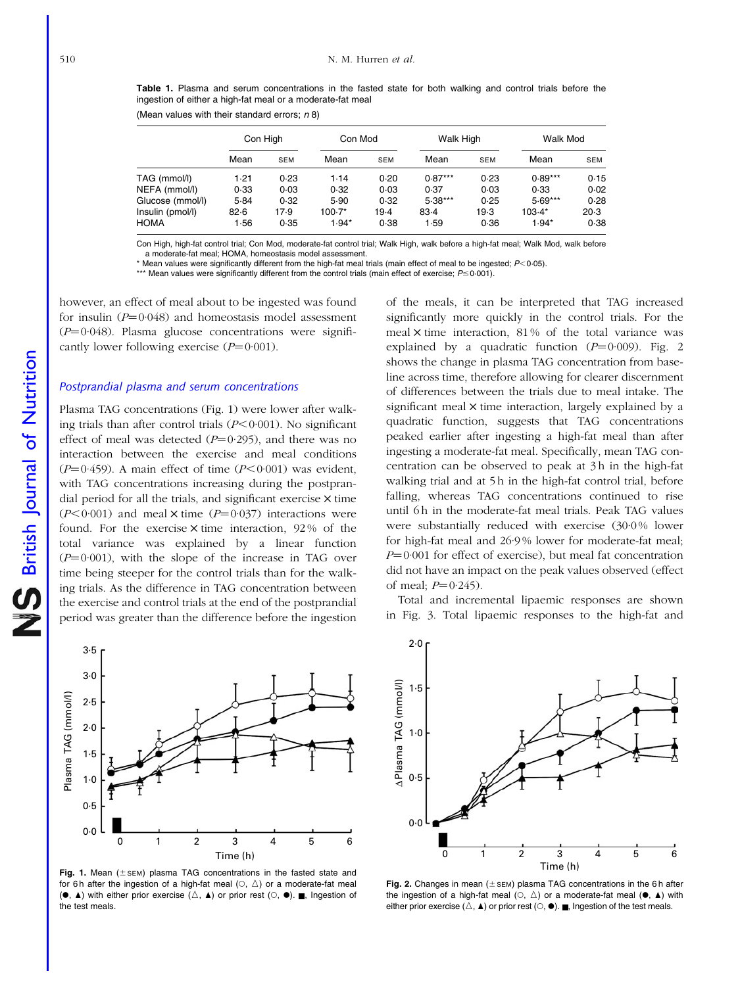<span id="page-5-0"></span>Table 1. Plasma and serum concentrations in the fasted state for both walking and control trials before the ingestion of either a high-fat meal or a moderate-fat meal

(Mean values with their standard errors;  $n$  8)

|                  | Con High |            | Con Mod |            | <b>Walk High</b> |            | Walk Mod  |            |
|------------------|----------|------------|---------|------------|------------------|------------|-----------|------------|
|                  | Mean     | <b>SEM</b> | Mean    | <b>SEM</b> | Mean             | <b>SEM</b> | Mean      | <b>SEM</b> |
| TAG (mmol/l)     | 1.21     | 0.23       | 1.14    | 0.20       | $0.87***$        | 0.23       | $0.89***$ | 0.15       |
| NEFA (mmol/l)    | 0.33     | 0.03       | 0.32    | 0.03       | 0.37             | 0.03       | 0.33      | 0.02       |
| Glucose (mmol/l) | 5.84     | 0.32       | 5.90    | 0.32       | $5.38***$        | 0.25       | $5.69***$ | 0.28       |
| Insulin (pmol/l) | 82.6     | 17.9       | 100.7*  | $19-4$     | 83.4             | 19.3       | $103.4*$  | $20-3$     |
| <b>HOMA</b>      | 1.56     | 0.35       | $1.94*$ | 0.38       | 1.59             | 0.36       | $1.94*$   | 0.38       |

Con High, high-fat control trial; Con Mod, moderate-fat control trial; Walk High, walk before a high-fat meal; Walk Mod, walk before a moderate-fat meal; HOMA, homeostasis model assessment.

 $*$  Mean values were significantly different from the high-fat meal trials (main effect of meal to be ingested;  $P < 0.05$ ).

\*\*\* Mean values were significantly different from the control trials (main effect of exercise;  $P \le 0.001$ ).

however, an effect of meal about to be ingested was found for insulin  $(P=0.048)$  and homeostasis model assessment  $(P=0.048)$ . Plasma glucose concentrations were significantly lower following exercise  $(P=0.001)$ .

#### Postprandial plasma and serum concentrations

Plasma TAG concentrations (Fig. 1) were lower after walking trials than after control trials  $(P<0.001)$ . No significant effect of meal was detected  $(P=0.295)$ , and there was no interaction between the exercise and meal conditions ( $P=0.459$ ). A main effect of time ( $P<0.001$ ) was evident, with TAG concentrations increasing during the postprandial period for all the trials, and significant exercise  $\times$  time  $(P<0.001)$  and meal  $\times$  time  $(P=0.037)$  interactions were found. For the exercise  $\times$  time interaction, 92% of the total variance was explained by a linear function  $(P=0.001)$ , with the slope of the increase in TAG over time being steeper for the control trials than for the walking trials. As the difference in TAG concentration between the exercise and control trials at the end of the postprandial period was greater than the difference before the ingestion

of the meals, it can be interpreted that TAG increased significantly more quickly in the control trials. For the meal  $\times$  time interaction, 81% of the total variance was explained by a quadratic function  $(P=0.009)$ . Fig. 2 shows the change in plasma TAG concentration from baseline across time, therefore allowing for clearer discernment of differences between the trials due to meal intake. The significant meal  $\times$  time interaction, largely explained by a quadratic function, suggests that TAG concentrations peaked earlier after ingesting a high-fat meal than after ingesting a moderate-fat meal. Specifically, mean TAG concentration can be observed to peak at 3 h in the high-fat walking trial and at 5h in the high-fat control trial, before falling, whereas TAG concentrations continued to rise until 6h in the moderate-fat meal trials. Peak TAG values were substantially reduced with exercise (30.0% lower for high-fat meal and 26·9 % lower for moderate-fat meal;  $P=0.001$  for effect of exercise), but meal fat concentration did not have an impact on the peak values observed (effect of meal;  $P = 0.245$ ).

Total and incremental lipaemic responses are shown in [Fig. 3.](#page-6-0) Total lipaemic responses to the high-fat and



Fig. 1. Mean  $(\pm$  sEM) plasma TAG concentrations in the fasted state and for 6h after the ingestion of a high-fat meal  $(0, \triangle)$  or a moderate-fat meal  $(\bullet, \blacktriangle)$  with either prior exercise  $(\triangle, \blacktriangle)$  or prior rest  $( \heartsuit, \blacktriangle)$ . , Ingestion of the test meals.



Fig. 2. Changes in mean ( $\pm$  SEM) plasma TAG concentrations in the 6 h after the ingestion of a high-fat meal  $( \circ, \triangle )$  or a moderate-fat meal  $( \bullet, \triangle )$  with either prior exercise ( $\triangle$ ,  $\blacktriangle$ ) or prior rest ( $\heartsuit$ ,  $\blacklozenge$ ).  $\blacksquare$ , Ingestion of the test meals.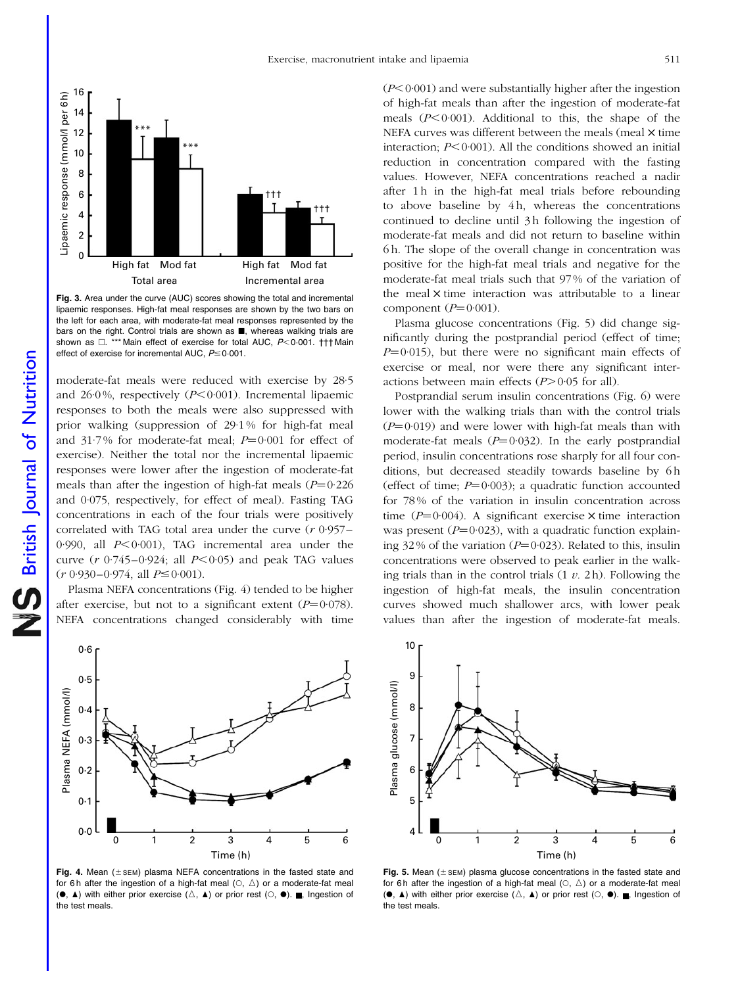<span id="page-6-0"></span>

Fig. 3. Area under the curve (AUC) scores showing the total and incremental lipaemic responses. High-fat meal responses are shown by the two bars on the left for each area, with moderate-fat meal responses represented by the bars on the right. Control trials are shown as **B**, whereas walking trials are shown as  $\Box$ . \*\*\* Main effect of exercise for total AUC, P<0.001. ††† Main effect of exercise for incremental AUC,  $P \leq 0.001$ .

moderate-fat meals were reduced with exercise by 28·5 and 26.0%, respectively  $(P<0.001)$ . Incremental lipaemic responses to both the meals were also suppressed with prior walking (suppression of 29·1 % for high-fat meal and 31.7% for moderate-fat meal;  $P=0.001$  for effect of exercise). Neither the total nor the incremental lipaemic responses were lower after the ingestion of moderate-fat meals than after the ingestion of high-fat meals  $(P=0.226$ and 0·075, respectively, for effect of meal). Fasting TAG concentrations in each of the four trials were positively correlated with TAG total area under the curve  $(r 0.957 -$ 0.990, all  $P < 0.001$ ), TAG incremental area under the curve ( $r$  0·745–0·924; all  $P < 0.05$ ) and peak TAG values  $(r 0.930 - 0.974, \text{ all } P \le 0.001$ .

Plasma NEFA concentrations (Fig. 4) tended to be higher after exercise, but not to a significant extent  $(P=0.078)$ . NEFA concentrations changed considerably with time



Fig. 4. Mean ( $\pm$  SEM) plasma NEFA concentrations in the fasted state and for 6 h after the ingestion of a high-fat meal  $(0, \triangle)$  or a moderate-fat meal  $(\bullet, \blacktriangle)$  with either prior exercise  $(\triangle, \blacktriangle)$  or prior rest  $( \heartsuit, \blacktriangle)$ . , Ingestion of the test meals.

 $(P<0.001)$  and were substantially higher after the ingestion of high-fat meals than after the ingestion of moderate-fat meals  $(P<0.001)$ . Additional to this, the shape of the NEFA curves was different between the meals (meal  $\times$  time interaction;  $P \leq 0.001$ ). All the conditions showed an initial reduction in concentration compared with the fasting values. However, NEFA concentrations reached a nadir after 1 h in the high-fat meal trials before rebounding to above baseline by 4h, whereas the concentrations continued to decline until 3h following the ingestion of moderate-fat meals and did not return to baseline within 6 h. The slope of the overall change in concentration was positive for the high-fat meal trials and negative for the moderate-fat meal trials such that 97 % of the variation of the meal  $\times$  time interaction was attributable to a linear component  $(P=0.001)$ .

Plasma glucose concentrations (Fig. 5) did change significantly during the postprandial period (effect of time;  $P=0.015$ ), but there were no significant main effects of exercise or meal, nor were there any significant interactions between main effects  $(P>0.05$  for all).

Postprandial serum insulin concentrations [\(Fig. 6](#page-7-0)) were lower with the walking trials than with the control trials  $(P=0.019)$  and were lower with high-fat meals than with moderate-fat meals  $(P=0.032)$ . In the early postprandial period, insulin concentrations rose sharply for all four conditions, but decreased steadily towards baseline by 6 h (effect of time;  $P=0.003$ ); a quadratic function accounted for 78 % of the variation in insulin concentration across time  $(P=0.004)$ . A significant exercise  $\times$  time interaction was present  $(P=0.023)$ , with a quadratic function explaining 32% of the variation ( $P=0.023$ ). Related to this, insulin concentrations were observed to peak earlier in the walking trials than in the control trials  $(1 v. 2 h)$ . Following the ingestion of high-fat meals, the insulin concentration curves showed much shallower arcs, with lower peak values than after the ingestion of moderate-fat meals.



Fig. 5. Mean ( $\pm$  SEM) plasma glucose concentrations in the fasted state and for 6 h after the ingestion of a high-fat meal  $(0, \triangle)$  or a moderate-fat meal  $(\bullet, \blacktriangle)$  with either prior exercise  $(\triangle, \blacktriangle)$  or prior rest  $( \heartsuit, \blacktriangle)$ . , Ingestion of the test meals.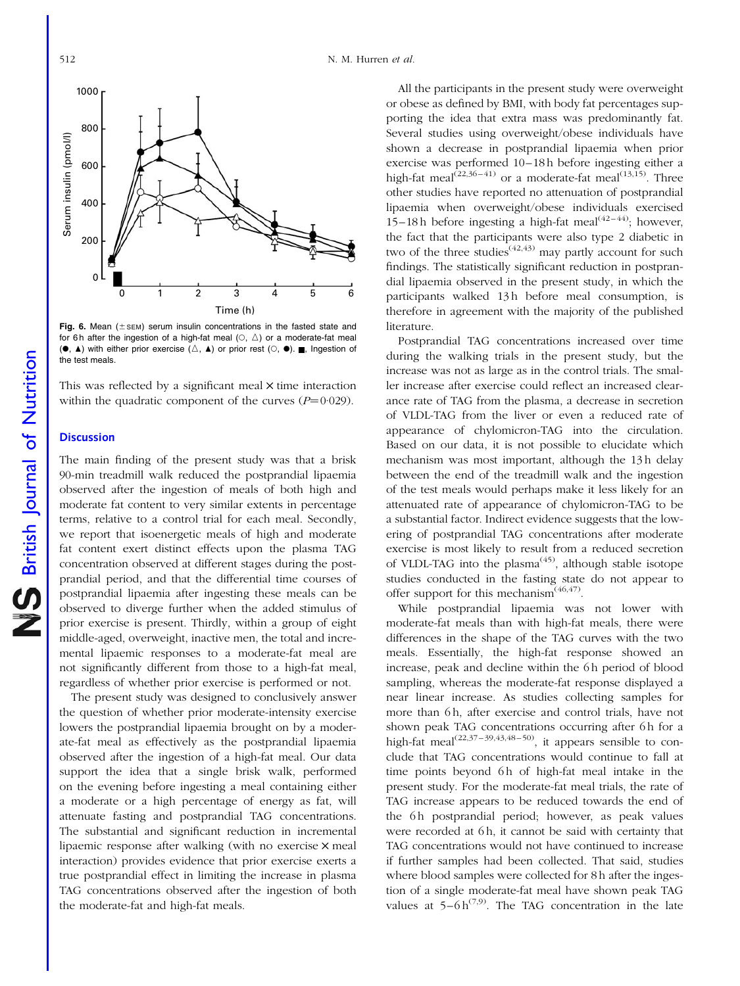<span id="page-7-0"></span>

Fig. 6. Mean ( $\pm$  SEM) serum insulin concentrations in the fasted state and for 6h after the ingestion of a high-fat meal  $( \circ, \triangle )$  or a moderate-fat meal  $(\bullet, \blacktriangle)$  with either prior exercise  $(\triangle, \blacktriangle)$  or prior rest  $(\heartsuit, \blacktriangle)$ . , Ingestion of the test meals.

This was reflected by a significant meal  $\times$  time interaction within the quadratic component of the curves  $(P=0.029)$ .

#### **Discussion**

The main finding of the present study was that a brisk 90-min treadmill walk reduced the postprandial lipaemia observed after the ingestion of meals of both high and moderate fat content to very similar extents in percentage terms, relative to a control trial for each meal. Secondly, we report that isoenergetic meals of high and moderate fat content exert distinct effects upon the plasma TAG concentration observed at different stages during the postprandial period, and that the differential time courses of postprandial lipaemia after ingesting these meals can be observed to diverge further when the added stimulus of prior exercise is present. Thirdly, within a group of eight middle-aged, overweight, inactive men, the total and incremental lipaemic responses to a moderate-fat meal are not significantly different from those to a high-fat meal, regardless of whether prior exercise is performed or not.

The present study was designed to conclusively answer the question of whether prior moderate-intensity exercise lowers the postprandial lipaemia brought on by a moderate-fat meal as effectively as the postprandial lipaemia observed after the ingestion of a high-fat meal. Our data support the idea that a single brisk walk, performed on the evening before ingesting a meal containing either a moderate or a high percentage of energy as fat, will attenuate fasting and postprandial TAG concentrations. The substantial and significant reduction in incremental lipaemic response after walking (with no exercise  $\times$  meal interaction) provides evidence that prior exercise exerts a true postprandial effect in limiting the increase in plasma TAG concentrations observed after the ingestion of both the moderate-fat and high-fat meals.

All the participants in the present study were overweight or obese as defined by BMI, with body fat percentages supporting the idea that extra mass was predominantly fat. Several studies using overweight/obese individuals have shown a decrease in postprandial lipaemia when prior exercise was performed 10–18 h before ingesting either a high-fat meal<sup>(22,36–41)</sup> or a moderate-fat meal<sup>(13,15)</sup>. Three other studies have reported no attenuation of postprandial lipaemia when overweight/obese individuals exercised 15–18 h before ingesting a high-fat meal<sup> $(42-44)$ </sup>; however, the fact that the participants were also type 2 diabetic in two of the three studies<sup> $(42,43)$ </sup> may partly account for such findings. The statistically significant reduction in postprandial lipaemia observed in the present study, in which the participants walked 13h before meal consumption, is therefore in agreement with the majority of the published literature.

Postprandial TAG concentrations increased over time during the walking trials in the present study, but the increase was not as large as in the control trials. The smaller increase after exercise could reflect an increased clearance rate of TAG from the plasma, a decrease in secretion of VLDL-TAG from the liver or even a reduced rate of appearance of chylomicron-TAG into the circulation. Based on our data, it is not possible to elucidate which mechanism was most important, although the 13 h delay between the end of the treadmill walk and the ingestion of the test meals would perhaps make it less likely for an attenuated rate of appearance of chylomicron-TAG to be a substantial factor. Indirect evidence suggests that the lowering of postprandial TAG concentrations after moderate exercise is most likely to result from a reduced secretion of VLDL-TAG into the plasma<sup> $(45)$ </sup>, although stable isotope studies conducted in the fasting state do not appear to offer support for this mechanism<sup> $(46,47)$ </sup>.

While postprandial lipaemia was not lower with moderate-fat meals than with high-fat meals, there were differences in the shape of the TAG curves with the two meals. Essentially, the high-fat response showed an increase, peak and decline within the 6h period of blood sampling, whereas the moderate-fat response displayed a near linear increase. As studies collecting samples for more than 6h, after exercise and control trials, have not shown peak TAG concentrations occurring after 6h for a high-fat meal<sup> $(22,37-39,43,48-50)$ </sup>, it appears sensible to conclude that TAG concentrations would continue to fall at time points beyond 6h of high-fat meal intake in the present study. For the moderate-fat meal trials, the rate of TAG increase appears to be reduced towards the end of the 6h postprandial period; however, as peak values were recorded at 6h, it cannot be said with certainty that TAG concentrations would not have continued to increase if further samples had been collected. That said, studies where blood samples were collected for 8 h after the ingestion of a single moderate-fat meal have shown peak TAG values at  $5-6 h^{(7,9)}$ . The TAG concentration in the late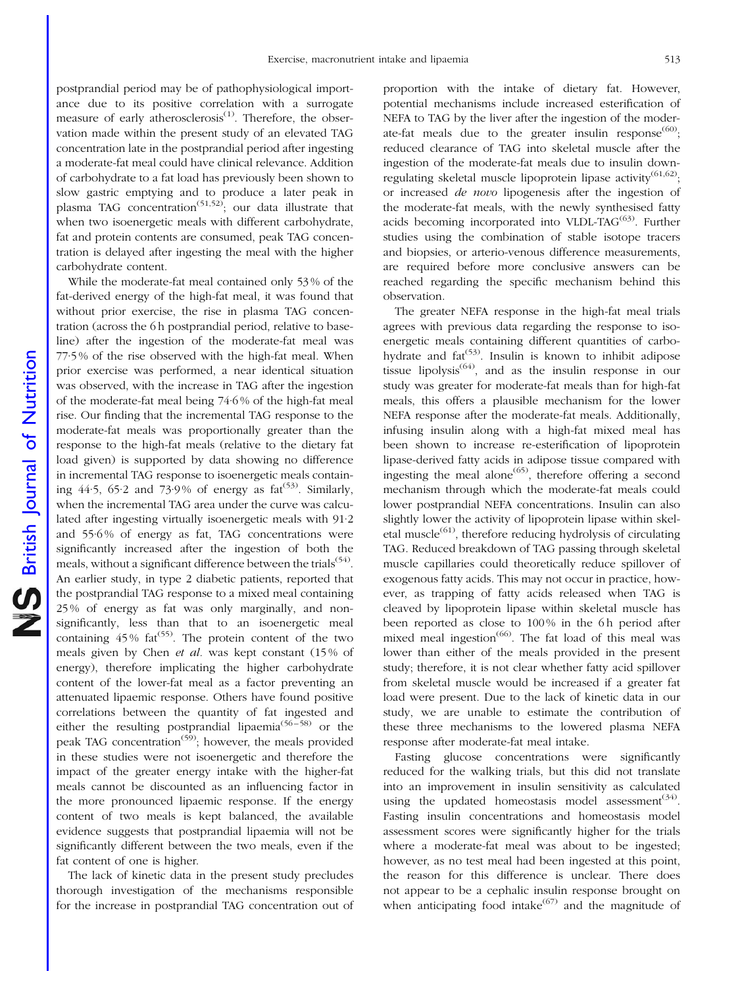postprandial period may be of pathophysiological importance due to its positive correlation with a surrogate measure of early atherosclerosis<sup>(1)</sup>. Therefore, the observation made within the present study of an elevated TAG concentration late in the postprandial period after ingesting a moderate-fat meal could have clinical relevance. Addition of carbohydrate to a fat load has previously been shown to slow gastric emptying and to produce a later peak in plasma TAG concentration<sup>(51,52)</sup>; our data illustrate that when two isoenergetic meals with different carbohydrate, fat and protein contents are consumed, peak TAG concentration is delayed after ingesting the meal with the higher carbohydrate content.

While the moderate-fat meal contained only 53 % of the fat-derived energy of the high-fat meal, it was found that without prior exercise, the rise in plasma TAG concentration (across the 6 h postprandial period, relative to baseline) after the ingestion of the moderate-fat meal was 77·5 % of the rise observed with the high-fat meal. When prior exercise was performed, a near identical situation was observed, with the increase in TAG after the ingestion of the moderate-fat meal being 74·6 % of the high-fat meal rise. Our finding that the incremental TAG response to the moderate-fat meals was proportionally greater than the response to the high-fat meals (relative to the dietary fat load given) is supported by data showing no difference in incremental TAG response to isoenergetic meals containing  $44.5$ ,  $65.2$  and  $73.9\%$  of energy as fat<sup> $(53)$ </sup>. Similarly, when the incremental TAG area under the curve was calculated after ingesting virtually isoenergetic meals with 91·2 and 55·6 % of energy as fat, TAG concentrations were significantly increased after the ingestion of both the meals, without a significant difference between the trials<sup>(54)</sup>. An earlier study, in type 2 diabetic patients, reported that the postprandial TAG response to a mixed meal containing 25 % of energy as fat was only marginally, and nonsignificantly, less than that to an isoenergetic meal containing  $45\%$  fat<sup>(55)</sup>. The protein content of the two meals given by Chen *et al.* was kept constant (15% of energy), therefore implicating the higher carbohydrate content of the lower-fat meal as a factor preventing an attenuated lipaemic response. Others have found positive correlations between the quantity of fat ingested and either the resulting postprandial lipaemia<sup>(56–58)</sup> or the peak TAG concentration<sup> $(59)$ </sup>; however, the meals provided in these studies were not isoenergetic and therefore the impact of the greater energy intake with the higher-fat meals cannot be discounted as an influencing factor in the more pronounced lipaemic response. If the energy content of two meals is kept balanced, the available evidence suggests that postprandial lipaemia will not be significantly different between the two meals, even if the fat content of one is higher.

The lack of kinetic data in the present study precludes thorough investigation of the mechanisms responsible for the increase in postprandial TAG concentration out of

proportion with the intake of dietary fat. However, potential mechanisms include increased esterification of NEFA to TAG by the liver after the ingestion of the moderate-fat meals due to the greater insulin response $^{(60)}$ ; reduced clearance of TAG into skeletal muscle after the ingestion of the moderate-fat meals due to insulin downregulating skeletal muscle lipoprotein lipase activity<sup>(61,62)</sup>; or increased de novo lipogenesis after the ingestion of the moderate-fat meals, with the newly synthesised fatty acids becoming incorporated into VLDL-TA $G^{(63)}$ . Further studies using the combination of stable isotope tracers and biopsies, or arterio-venous difference measurements, are required before more conclusive answers can be reached regarding the specific mechanism behind this observation.

The greater NEFA response in the high-fat meal trials agrees with previous data regarding the response to isoenergetic meals containing different quantities of carbohydrate and  $fat^{(53)}$ . Insulin is known to inhibit adipose tissue lipolysis<sup> $(64)$ </sup>, and as the insulin response in our study was greater for moderate-fat meals than for high-fat meals, this offers a plausible mechanism for the lower NEFA response after the moderate-fat meals. Additionally, infusing insulin along with a high-fat mixed meal has been shown to increase re-esterification of lipoprotein lipase-derived fatty acids in adipose tissue compared with ingesting the meal alone<sup> $(65)$ </sup>, therefore offering a second mechanism through which the moderate-fat meals could lower postprandial NEFA concentrations. Insulin can also slightly lower the activity of lipoprotein lipase within skeletal muscle<sup> $(61)$ </sup>, therefore reducing hydrolysis of circulating TAG. Reduced breakdown of TAG passing through skeletal muscle capillaries could theoretically reduce spillover of exogenous fatty acids. This may not occur in practice, however, as trapping of fatty acids released when TAG is cleaved by lipoprotein lipase within skeletal muscle has been reported as close to 100% in the 6h period after mixed meal ingestion<sup> $(66)$ </sup>. The fat load of this meal was lower than either of the meals provided in the present study; therefore, it is not clear whether fatty acid spillover from skeletal muscle would be increased if a greater fat load were present. Due to the lack of kinetic data in our study, we are unable to estimate the contribution of these three mechanisms to the lowered plasma NEFA response after moderate-fat meal intake.

Fasting glucose concentrations were significantly reduced for the walking trials, but this did not translate into an improvement in insulin sensitivity as calculated using the updated homeostasis model assessment $(34)$ . Fasting insulin concentrations and homeostasis model assessment scores were significantly higher for the trials where a moderate-fat meal was about to be ingested; however, as no test meal had been ingested at this point, the reason for this difference is unclear. There does not appear to be a cephalic insulin response brought on when anticipating food intake $(67)$  and the magnitude of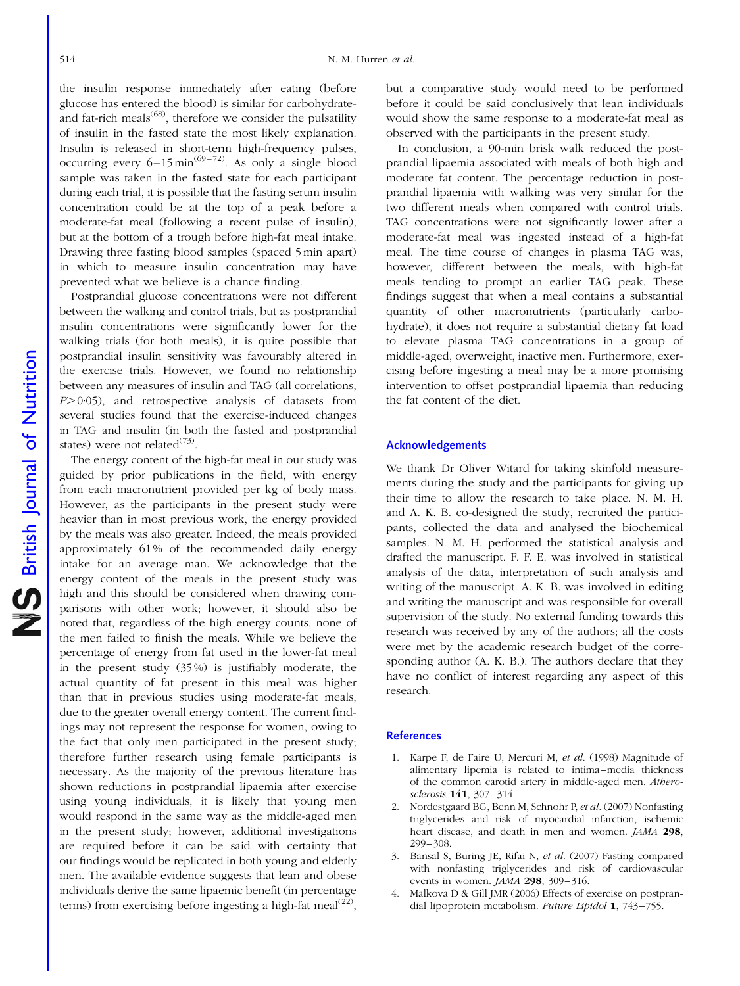the insulin response immediately after eating (before glucose has entered the blood) is similar for carbohydrateand fat-rich meals<sup>(68)</sup>, therefore we consider the pulsatility of insulin in the fasted state the most likely explanation. Insulin is released in short-term high-frequency pulses, occurring every  $6-15$  min<sup> $(69-72)$ </sup>. As only a single blood sample was taken in the fasted state for each participant during each trial, it is possible that the fasting serum insulin concentration could be at the top of a peak before a moderate-fat meal (following a recent pulse of insulin), but at the bottom of a trough before high-fat meal intake. Drawing three fasting blood samples (spaced 5 min apart) in which to measure insulin concentration may have prevented what we believe is a chance finding.

Postprandial glucose concentrations were not different between the walking and control trials, but as postprandial insulin concentrations were significantly lower for the walking trials (for both meals), it is quite possible that postprandial insulin sensitivity was favourably altered in the exercise trials. However, we found no relationship between any measures of insulin and TAG (all correlations,  $P>0.05$ ), and retrospective analysis of datasets from several studies found that the exercise-induced changes in TAG and insulin (in both the fasted and postprandial states) were not related $(73)$ .

The energy content of the high-fat meal in our study was guided by prior publications in the field, with energy from each macronutrient provided per kg of body mass. However, as the participants in the present study were heavier than in most previous work, the energy provided by the meals was also greater. Indeed, the meals provided approximately 61 % of the recommended daily energy intake for an average man. We acknowledge that the energy content of the meals in the present study was high and this should be considered when drawing comparisons with other work; however, it should also be noted that, regardless of the high energy counts, none of the men failed to finish the meals. While we believe the percentage of energy from fat used in the lower-fat meal in the present study (35 %) is justifiably moderate, the actual quantity of fat present in this meal was higher than that in previous studies using moderate-fat meals, due to the greater overall energy content. The current findings may not represent the response for women, owing to the fact that only men participated in the present study; therefore further research using female participants is necessary. As the majority of the previous literature has shown reductions in postprandial lipaemia after exercise using young individuals, it is likely that young men would respond in the same way as the middle-aged men in the present study; however, additional investigations are required before it can be said with certainty that our findings would be replicated in both young and elderly men. The available evidence suggests that lean and obese individuals derive the same lipaemic benefit (in percentage terms) from exercising before ingesting a high-fat meal<sup>(22)</sup>,

but a comparative study would need to be performed before it could be said conclusively that lean individuals would show the same response to a moderate-fat meal as observed with the participants in the present study.

In conclusion, a 90-min brisk walk reduced the postprandial lipaemia associated with meals of both high and moderate fat content. The percentage reduction in postprandial lipaemia with walking was very similar for the two different meals when compared with control trials. TAG concentrations were not significantly lower after a moderate-fat meal was ingested instead of a high-fat meal. The time course of changes in plasma TAG was, however, different between the meals, with high-fat meals tending to prompt an earlier TAG peak. These findings suggest that when a meal contains a substantial quantity of other macronutrients (particularly carbohydrate), it does not require a substantial dietary fat load to elevate plasma TAG concentrations in a group of middle-aged, overweight, inactive men. Furthermore, exercising before ingesting a meal may be a more promising intervention to offset postprandial lipaemia than reducing the fat content of the diet.

#### Acknowledgements

We thank Dr Oliver Witard for taking skinfold measurements during the study and the participants for giving up their time to allow the research to take place. N. M. H. and A. K. B. co-designed the study, recruited the participants, collected the data and analysed the biochemical samples. N. M. H. performed the statistical analysis and drafted the manuscript. F. F. E. was involved in statistical analysis of the data, interpretation of such analysis and writing of the manuscript. A. K. B. was involved in editing and writing the manuscript and was responsible for overall supervision of the study. No external funding towards this research was received by any of the authors; all the costs were met by the academic research budget of the corresponding author (A. K. B.). The authors declare that they have no conflict of interest regarding any aspect of this research.

#### **References**

- 1. Karpe F, de Faire U, Mercuri M, et al. (1998) Magnitude of alimentary lipemia is related to intima–media thickness of the common carotid artery in middle-aged men. Atherosclerosis 141, 307–314.
- 2. Nordestgaard BG, Benn M, Schnohr P, et al. (2007) Nonfasting triglycerides and risk of myocardial infarction, ischemic heart disease, and death in men and women. JAMA 298, 299–308.
- 3. Bansal S, Buring JE, Rifai N, et al. (2007) Fasting compared with nonfasting triglycerides and risk of cardiovascular events in women. JAMA 298, 309–316.
- 4. Malkova D & Gill JMR (2006) Effects of exercise on postprandial lipoprotein metabolism. Future Lipidol 1, 743–755.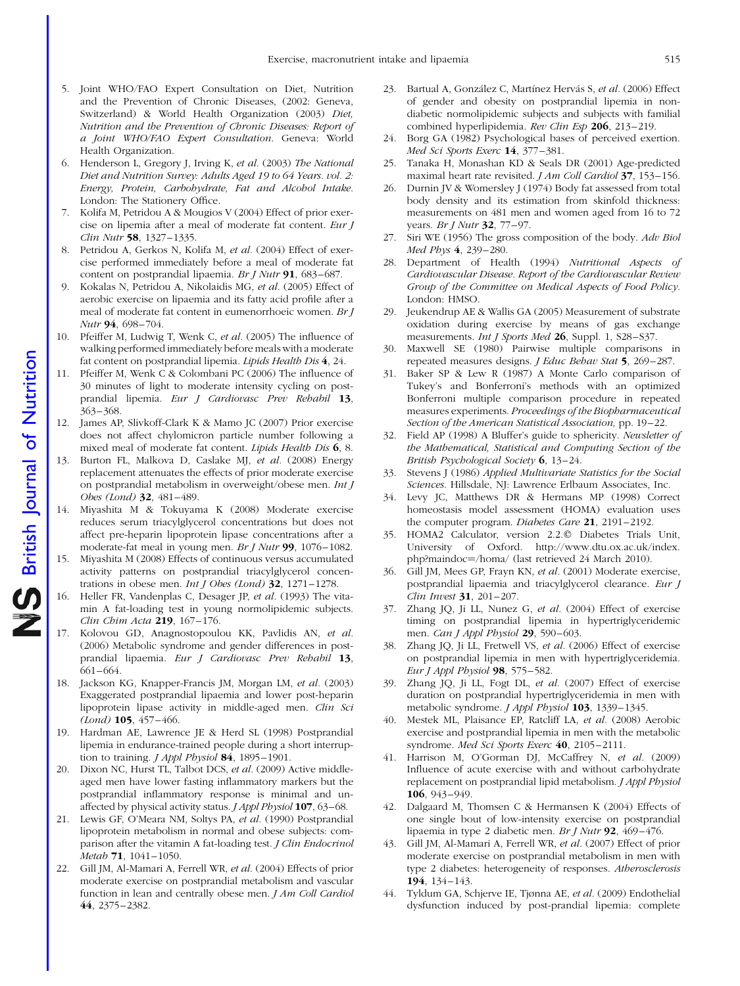- 5. Joint WHO/FAO Expert Consultation on Diet, Nutrition and the Prevention of Chronic Diseases, (2002: Geneva, Switzerland) & World Health Organization (2003) Diet, Nutrition and the Prevention of Chronic Diseases: Report of a Joint WHO/FAO Expert Consultation. Geneva: World Health Organization.
- 6. Henderson L, Gregory J, Irving K, et al. (2003) The National Diet and Nutrition Survey: Adults Aged 19 to 64 Years. vol. 2: Energy, Protein, Carbohydrate, Fat and Alcohol Intake. London: The Stationery Office.
- 7. Kolifa M, Petridou A & Mougios V (2004) Effect of prior exercise on lipemia after a meal of moderate fat content. Eur J Clin Nutr 58, 1327–1335.
- 8. Petridou A, Gerkos N, Kolifa M, et al. (2004) Effect of exercise performed immediately before a meal of moderate fat content on postprandial lipaemia. Br J Nutr 91, 683–687.
- 9. Kokalas N, Petridou A, Nikolaidis MG, et al. (2005) Effect of aerobic exercise on lipaemia and its fatty acid profile after a meal of moderate fat content in eumenorrhoeic women. Br J Nutr 94, 698–704.
- 10. Pfeiffer M, Ludwig T, Wenk C, et al. (2005) The influence of walking performed immediately before meals with a moderate fat content on postprandial lipemia. Lipids Health Dis 4, 24.
- 11. Pfeiffer M, Wenk C & Colombani PC (2006) The influence of 30 minutes of light to moderate intensity cycling on postprandial lipemia. Eur J Cardiovasc Prev Rehabil 13, 363–368.
- 12. James AP, Slivkoff-Clark K & Mamo JC (2007) Prior exercise does not affect chylomicron particle number following a mixed meal of moderate fat content. Lipids Health Dis 6, 8.
- 13. Burton FL, Malkova D, Caslake MJ, et al. (2008) Energy replacement attenuates the effects of prior moderate exercise on postprandial metabolism in overweight/obese men. Int J Obes (Lond) 32, 481–489.
- 14. Miyashita M & Tokuyama K (2008) Moderate exercise reduces serum triacylglycerol concentrations but does not affect pre-heparin lipoprotein lipase concentrations after a moderate-fat meal in young men. Br J Nutr 99, 1076–1082.
- 15. Miyashita M (2008) Effects of continuous versus accumulated activity patterns on postprandial triacylglycerol concentrations in obese men. *Int J Obes (Lond)*  $32$ ,  $1271-1278$ .
- 16. Heller FR, Vandenplas C, Desager JP, et al. (1993) The vitamin A fat-loading test in young normolipidemic subjects. Clin Chim Acta 219, 167-176.
- 17. Kolovou GD, Anagnostopoulou KK, Pavlidis AN, et al. (2006) Metabolic syndrome and gender differences in postprandial lipaemia. Eur J Cardiovasc Prev Rehabil 13, 661–664.
- 18. Jackson KG, Knapper-Francis JM, Morgan LM, et al. (2003) Exaggerated postprandial lipaemia and lower post-heparin lipoprotein lipase activity in middle-aged men. Clin Sci (Lond) 105, 457–466.
- 19. Hardman AE, Lawrence JE & Herd SL (1998) Postprandial lipemia in endurance-trained people during a short interruption to training. *J Appl Physiol* **84**, 1895-1901.
- 20. Dixon NC, Hurst TL, Talbot DCS, et al. (2009) Active middleaged men have lower fasting inflammatory markers but the postprandial inflammatory response is minimal and unaffected by physical activity status. J Appl Physiol 107, 63–68.
- 21. Lewis GF, O'Meara NM, Soltys PA, et al. (1990) Postprandial lipoprotein metabolism in normal and obese subjects: comparison after the vitamin A fat-loading test. J Clin Endocrinol Metab 71, 1041–1050.
- 22. Gill JM, Al-Mamari A, Ferrell WR, et al. (2004) Effects of prior moderate exercise on postprandial metabolism and vascular function in lean and centrally obese men. J Am Coll Cardiol 44, 2375–2382.
- 23. Bartual A, González C, Martínez Hervás S, et al. (2006) Effect of gender and obesity on postprandial lipemia in nondiabetic normolipidemic subjects and subjects with familial combined hyperlipidemia. Rev Clin Esp 206, 213-219.
- 24. Borg GA (1982) Psychological bases of perceived exertion. Med Sci Sports Exerc 14, 377-381.
- 25. Tanaka H, Monashan KD & Seals DR (2001) Age-predicted maximal heart rate revisited. *J Am Coll Cardiol* 37, 153-156.
- 26. Durnin JV & Womersley J (1974) Body fat assessed from total body density and its estimation from skinfold thickness: measurements on 481 men and women aged from 16 to 72 years. Br J Nutr 32, 77-97.
- 27. Siri WE (1956) The gross composition of the body. Adv Biol Med Phys 4, 239–280.
- 28. Department of Health (1994) Nutritional Aspects of Cardiovascular Disease. Report of the Cardiovascular Review Group of the Committee on Medical Aspects of Food Policy. London: HMSO.
- 29. Jeukendrup AE & Wallis GA (2005) Measurement of substrate oxidation during exercise by means of gas exchange measurements. Int J Sports Med 26, Suppl. 1, S28-S37.
- 30. Maxwell SE (1980) Pairwise multiple comparisons in repeated measures designs. *J Educ Behav Stat* 5, 269–287.
- 31. Baker SP & Lew R (1987) A Monte Carlo comparison of Tukey's and Bonferroni's methods with an optimized Bonferroni multiple comparison procedure in repeated measures experiments. Proceedings of the Biopharmaceutical Section of the American Statistical Association, pp. 19–22.
- 32. Field AP (1998) A Bluffer's guide to sphericity. Newsletter of the Mathematical, Statistical and Computing Section of the British Psychological Society  $6$ , 13-24.
- 33. Stevens J (1986) Applied Multivariate Statistics for the Social Sciences. Hillsdale, NJ: Lawrence Erlbaum Associates, Inc.
- 34. Levy JC, Matthews DR & Hermans MP (1998) Correct homeostasis model assessment (HOMA) evaluation uses the computer program. Diabetes Care 21, 2191-2192.
- 35. HOMA2 Calculator, version 2.2.q Diabetes Trials Unit, University of Oxford. http://www.dtu.ox.ac.uk/index. php?maindoc=/homa/ (last retrieved 24 March 2010).
- 36. Gill JM, Mees GP, Frayn KN, et al. (2001) Moderate exercise, postprandial lipaemia and triacylglycerol clearance. Eur J Clin Invest 31, 201–207.
- 37. Zhang JQ, Ji LL, Nunez G, et al. (2004) Effect of exercise timing on postprandial lipemia in hypertriglyceridemic men. Can J Appl Physiol 29, 590-603.
- 38. Zhang JQ, Ji LL, Fretwell VS, et al. (2006) Effect of exercise on postprandial lipemia in men with hypertriglyceridemia. Eur J Appl Physiol 98, 575-582.
- 39. Zhang JQ, Ji LL, Fogt DL, et al. (2007) Effect of exercise duration on postprandial hypertriglyceridemia in men with metabolic syndrome. J Appl Physiol 103, 1339-1345.
- 40. Mestek ML, Plaisance EP, Ratcliff LA, et al. (2008) Aerobic exercise and postprandial lipemia in men with the metabolic syndrome. Med Sci Sports Exerc 40, 2105–2111.
- 41. Harrison M, O'Gorman DJ, McCaffrey N, et al. (2009) Influence of acute exercise with and without carbohydrate replacement on postprandial lipid metabolism. *J Appl Physiol* 106, 943–949.
- 42. Dalgaard M, Thomsen C & Hermansen K (2004) Effects of one single bout of low-intensity exercise on postprandial lipaemia in type 2 diabetic men. Br J Nutr  $92$ , 469–476.
- 43. Gill JM, Al-Mamari A, Ferrell WR, et al. (2007) Effect of prior moderate exercise on postprandial metabolism in men with type 2 diabetes: heterogeneity of responses. Atherosclerosis 194, 134–143.
- 44. Tyldum GA, Schjerve IE, Tjønna AE, et al. (2009) Endothelial dysfunction induced by post-prandial lipemia: complete